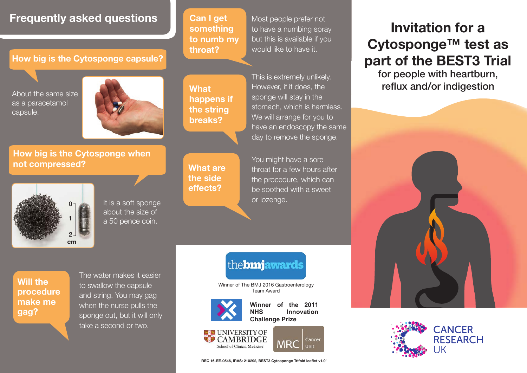### **Frequently asked questions Can I get Most people prefer not**

### **How big is the Cytosponge capsule?**

as a paracetamol capsule.



**How big is the Cytosponge when not compressed?**



It is a soft sponge about the size of a 50 pence coin.

**Can I get something to numb my throat?**

to have a numbing spray but this is available if you would like to have it.

**What happens if the string breaks?**

**What are the side effects?**

About the same size This is extremely unlikely. However, if it does, the sponge will stay in the stomach, which is harmless. We will arrange for you to have an endoscopy the same day to remove the sponge.

> You might have a sore throat for a few hours after the procedure, which can be soothed with a sweet or lozenge.

# **Invitation for a Cytosponge™ test as part of the BEST3 Trial**

for people with heartburn,





### the**bmjawards**

Winner of The BMJ 2016 Gastroenterology Team Award



**Winner of the 2011 Innovation Challenge Prize**





School of Clinical Medicine



**Will the procedure make me gag?**

The water makes it easier to swallow the capsule and string. You may gag when the nurse pulls the sponge out, but it will only take a second or two.